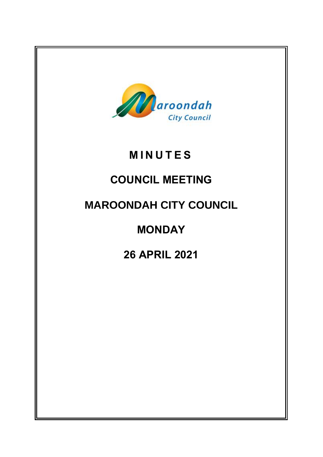

# **M I N U T E S**

# **COUNCIL MEETING**

# **MAROONDAH CITY COUNCIL**

# **MONDAY**

# **26 APRIL 2021**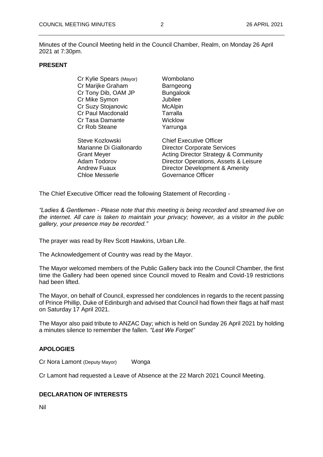Minutes of the Council Meeting held in the Council Chamber, Realm, on Monday 26 April 2021 at 7:30pm.

#### **PRESENT**

| Cr Kylie Spears (Mayor) | Wombolano                                       |
|-------------------------|-------------------------------------------------|
| Cr Marijke Graham       | Barngeong                                       |
| Cr Tony Dib, OAM JP     | <b>Bungalook</b>                                |
| Cr Mike Symon           | Jubilee                                         |
| Cr Suzy Stojanovic      | <b>McAlpin</b>                                  |
| Cr Paul Macdonald       | Tarralla                                        |
| Cr Tasa Damante         | Wicklow                                         |
| Cr Rob Steane           | Yarrunga                                        |
| Steve Kozlowski         | <b>Chief Executive Officer</b>                  |
| Marianne Di Giallonardo | <b>Director Corporate Services</b>              |
| <b>Grant Meyer</b>      | <b>Acting Director Strategy &amp; Community</b> |
| Adam Todorov            | Director Operations, Assets & Leisure           |
| <b>Andrew Fuaux</b>     | Director Development & Amenity                  |
| Chloe Messerle          | Governance Officer                              |
|                         |                                                 |

The Chief Executive Officer read the following Statement of Recording -

*"Ladies & Gentlemen - Please note that this meeting is being recorded and streamed live on the internet. All care is taken to maintain your privacy; however, as a visitor in the public gallery, your presence may be recorded."*

The prayer was read by Rev Scott Hawkins, Urban Life.

The Acknowledgement of Country was read by the Mayor.

The Mayor welcomed members of the Public Gallery back into the Council Chamber, the first time the Gallery had been opened since Council moved to Realm and Covid-19 restrictions had been lifted.

The Mayor, on behalf of Council, expressed her condolences in regards to the recent passing of Prince Phillip, Duke of Edinburgh and advised that Council had flown their flags at half mast on Saturday 17 April 2021.

The Mayor also paid tribute to ANZAC Day; which is held on Sunday 26 April 2021 by holding a minutes silence to remember the fallen. *"Lest We Forget"*

# **APOLOGIES**

Cr Nora Lamont (Deputy Mayor) Wonga

Cr Lamont had requested a Leave of Absence at the 22 March 2021 Council Meeting.

# **DECLARATION OF INTERESTS**

Nil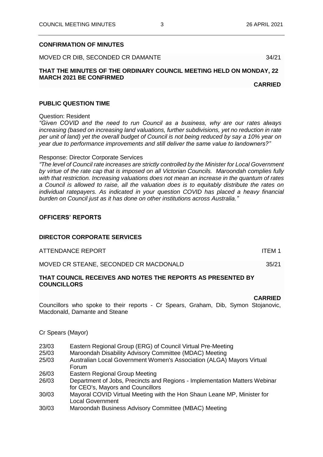### **CONFIRMATION OF MINUTES**

MOVED CR DIB, SECONDED CR DAMANTE

# **THAT THE MINUTES OF THE ORDINARY COUNCIL MEETING HELD ON MONDAY, 22 MARCH 2021 BE CONFIRMED**

**CARRIED**

#### **PUBLIC QUESTION TIME**

Question: Resident

*"Given COVID and the need to run Council as a business, why are our rates always increasing (based on increasing land valuations, further subdivisions, yet no reduction in rate per unit of land) yet the overall budget of Council is not being reduced by say a 10% year on year due to performance improvements and still deliver the same value to landowners?"*

#### Response: Director Corporate Services

*"The level of Council rate increases are strictly controlled by the Minister for Local Government by virtue of the rate cap that is imposed on all Victorian Councils. Maroondah complies fully with that restriction. Increasing valuations does not mean an increase in the quantum of rates a Council is allowed to raise, all the valuation does is to equitably distribute the rates on individual ratepayers. As indicated in your question COVID has placed a heavy financial burden on Council just as it has done on other institutions across Australia."*

# **OFFICERS' REPORTS**

## **DIRECTOR CORPORATE SERVICES**

| ATTENDANCE REPORT                      | ITEM 1 |
|----------------------------------------|--------|
| MOVED CR STEANE, SECONDED CR MACDONALD | 35/21  |

# **THAT COUNCIL RECEIVES AND NOTES THE REPORTS AS PRESENTED BY COUNCILLORS**

#### **CARRIED**

Councillors who spoke to their reports - Cr Spears, Graham, Dib, Symon Stojanovic, Macdonald, Damante and Steane

Cr Spears (Mayor)

- 23/03 Eastern Regional Group (ERG) of Council Virtual Pre-Meeting
- 25/03 Maroondah Disability Advisory Committee (MDAC) Meeting
- 25/03 Australian Local Government Women's Association (ALGA) Mayors Virtual Forum
- 26/03 Eastern Regional Group Meeting
- 26/03 Department of Jobs, Precincts and Regions Implementation Matters Webinar for CEO's, Mayors and Councillors
- 30/03 Mayoral COVID Virtual Meeting with the Hon Shaun Leane MP, Minister for Local Government
- 30/03 Maroondah Business Advisory Committee (MBAC) Meeting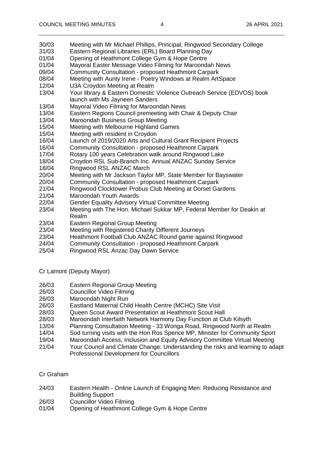- 30/03 Meeting with Mr Michael Phillips, Principal, Ringwood Secondary College
- 31/03 Eastern Regional Libraries (ERL) Board Planning Day
- 01/04 Opening of Heathmont College Gym & Hope Centre
- 01/04 Mayoral Easter Message Video Filming for Maroondah News
- 09/04 Community Consultation proposed Heathmont Carpark
- 08/04 Meeting with Aunty Irene Poetry Windows at Realm ArtSpace
- 12/04 U3A Croydon Meeting at Realm
- 13/04 Your library & Eastern Domestic Violence Outreach Service (EDVOS) book launch with Ms Jayneen Sanders
- 13/04 Mayoral Video Filming for Maroondah News
- 13/04 Eastern Regions Council premeeting with Chair & Deputy Chair
- 13/04 Maroondah Business Group Meeting
- 15/04 Meeting with Melbourne Highland Games
- 15/04 Meeting with resident in Croydon
- 16/04 Launch of 2019/2020 Arts and Cultural Grant Recipient Projects
- 16/04 Community Consultation proposed Heathmont Carpark
- 17/04 Rotary 100 years Celebration walk around Ringwood Lake
- 18/04 Croydon RSL Sub-Branch Inc. Annual ANZAC Sunday Service
- 18/04 Ringwood RSL ANZAC March
- 20/04 Meeting with Mr Jackson Taylor MP, State Member for Bayswater
- 20/04 Community Consultation proposed Heathmont Carpark
- 21/04 Ringwood Clocktower Probus Club Meeting at Dorset Gardens
- 21/04 Maroondah Youth Awards
- 22/04 Gender Equality Advisory Virtual Committee Meeting
- 23/04 Meeting with The Hon. Michael Sukkar MP, Federal Member for Deakin at Realm
- 23/04 Eastern Regional Group Meeting
- 23/04 Meeting with Registered Charity Different Journeys
- 23/04 Heathmont Football Club ANZAC Round game against Ringwood
- 24/04 Community Consultation proposed Heathmont Carpark
- 25/04 Ringwood RSL Anzac Day Dawn Service
- Cr Lamont (Deputy Mayor)
- 26/03 Eastern Regional Group Meeting
- 26/03 Councillor Video Filming
- 26/03 Maroondah Night Run
- Eastland Maternal Child Health Centre (MCHC) Site Visit
- 28/03 Queen Scout Award Presentation at Heathmont Scout Hall
- 28/03 Maroondah Interfaith Network Harmony Day Function at Club Kilsyth
- 13/04 Planning Consultation Meeting 33 Wonga Road, Ringwood North at Realm
- 14/04 Sod turning visits with the Hon Ros Spence MP, Minister for Community Sport
- 19/04 Maroondah Access, Inclusion and Equity Advisory Committee Virtual Meeting
- 21/04 Your Council and Climate Change: Understanding the risks and learning to adapt Professional Development for Councillors
- Cr Graham
- 24/03 Eastern Health Online Launch of Engaging Men: Reducing Resistance and Building Support
- 26/03 Councillor Video Filming
- 01/04 Opening of Heathmont College Gym & Hope Centre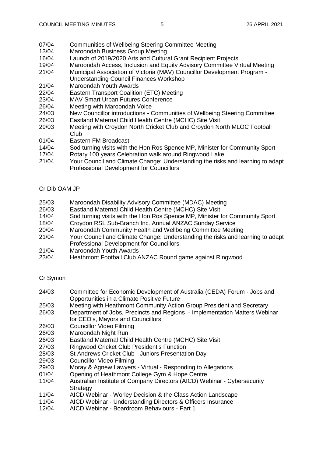- 07/04 Communities of Wellbeing Steering Committee Meeting
- 13/04 Maroondah Business Group Meeting
- 16/04 Launch of 2019/2020 Arts and Cultural Grant Recipient Projects
- 19/04 Maroondah Access, Inclusion and Equity Advisory Committee Virtual Meeting
- 21/04 Municipal Association of Victoria (MAV) Councillor Development Program Understanding Council Finances Workshop
- 21/04 Maroondah Youth Awards
- 22/04 Eastern Transport Coalition (ETC) Meeting
- 23/04 MAV Smart Urban Futures Conference
- 26/04 Meeting with Maroondah Voice<br>24/03 New Councillor introductions 0
- New Councillor introductions Communities of Wellbeing Steering Committee
- 26/03 Eastland Maternal Child Health Centre (MCHC) Site Visit
- 29/03 Meeting with Croydon North Cricket Club and Croydon North MLOC Football Club
- 01/04 Eastern FM Broadcast
- 14/04 Sod turning visits with the Hon Ros Spence MP, Minister for Community Sport
- 17/04 Rotary 100 years Celebration walk around Ringwood Lake
- 21/04 Your Council and Climate Change: Understanding the risks and learning to adapt Professional Development for Councillors

# Cr Dib OAM JP

- 25/03 Maroondah Disability Advisory Committee (MDAC) Meeting
- 26/03 Eastland Maternal Child Health Centre (MCHC) Site Visit
- 14/04 Sod turning visits with the Hon Ros Spence MP, Minister for Community Sport
- 18/04 Croydon RSL Sub-Branch Inc. Annual ANZAC Sunday Service
- 20/04 Maroondah Community Health and Wellbeing Committee Meeting
- 21/04 Your Council and Climate Change: Understanding the risks and learning to adapt Professional Development for Councillors
- 21/04 Maroondah Youth Awards
- 23/04 Heathmont Football Club ANZAC Round game against Ringwood

# Cr Symon

- 24/03 Committee for Economic Development of Australia (CEDA) Forum Jobs and Opportunities in a Climate Positive Future
- 25/03 Meeting with Heathmont Community Action Group President and Secretary
- 26/03 Department of Jobs, Precincts and Regions Implementation Matters Webinar for CEO's, Mayors and Councillors
- 26/03 Councillor Video Filming
- 26/03 Maroondah Night Run
- 26/03 Eastland Maternal Child Health Centre (MCHC) Site Visit
- 27/03 Ringwood Cricket Club President's Function
- 28/03 St Andrews Cricket Club Juniors Presentation Day
- 29/03 Councillor Video Filming
- 29/03 Moray & Agnew Lawyers Virtual Responding to Allegations
- 01/04 Opening of Heathmont College Gym & Hope Centre
- 11/04 Australian Institute of Company Directors (AICD) Webinar Cybersecurity **Strategy**
- 11/04 AICD Webinar Worley Decision & the Class Action Landscape<br>11/04 AICD Webinar Understanding Directors & Officers Insurance
- AICD Webinar Understanding Directors & Officers Insurance
- 12/04 AICD Webinar Boardroom Behaviours Part 1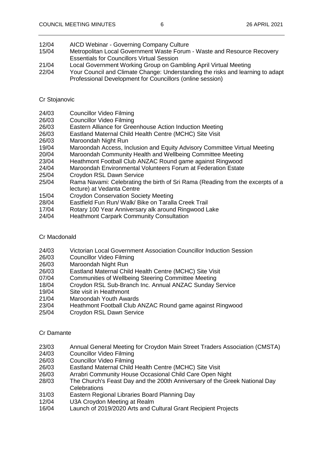- 12/04 AICD Webinar Governing Company Culture
- 15/04 Metropolitan Local Government Waste Forum Waste and Resource Recovery Essentials for Councillors Virtual Session
- 21/04 Local Government Working Group on Gambling April Virtual Meeting
- 22/04 Your Council and Climate Change: Understanding the risks and learning to adapt Professional Development for Councillors (online session)

# Cr Stojanovic

- 24/03 Councillor Video Filming
- 26/03 Councillor Video Filming
- 26/03 Eastern Alliance for Greenhouse Action Induction Meeting
- 26/03 Eastland Maternal Child Health Centre (MCHC) Site Visit
- 26/03 Maroondah Night Run
- 19/04 Maroondah Access, Inclusion and Equity Advisory Committee Virtual Meeting
- 20/04 Maroondah Community Health and Wellbeing Committee Meeting
- 23/04 Heathmont Football Club ANZAC Round game against Ringwood
- 24/04 Maroondah Environmental Volunteers Forum at Federation Estate
- 25/04 Croydon RSL Dawn Service
- 25/04 Rama Navami: Celebrating the birth of Sri Rama (Reading from the excerpts of a lecture) at Vedanta Centre
- 15/04 Croydon Conservation Society Meeting
- 28/04 Eastfield Fun Run/ Walk/ Bike on Taralla Creek Trail
- 17/04 Rotary 100 Year Anniversary alk around Ringwood Lake
- 24/04 Heathmont Carpark Community Consultation

# Cr Macdonald

- 24/03 Victorian Local Government Association Councillor Induction Session
- 26/03 Councillor Video Filming
- 26/03 Maroondah Night Run
- 26/03 Eastland Maternal Child Health Centre (MCHC) Site Visit
- 07/04 Communities of Wellbeing Steering Committee Meeting
- 18/04 Croydon RSL Sub-Branch Inc. Annual ANZAC Sunday Service
- 19/04 Site visit in Heathmont
- 21/04 Maroondah Youth Awards
- 23/04 Heathmont Football Club ANZAC Round game against Ringwood
- 25/04 Croydon RSL Dawn Service

# Cr Damante

- 23/03 Annual General Meeting for Croydon Main Street Traders Association (CMSTA)
- 24/03 Councillor Video Filming
- 26/03 Councillor Video Filming
- 26/03 Eastland Maternal Child Health Centre (MCHC) Site Visit
- 26/03 Arrabri Community House Occasional Child Care Open Night
- 28/03 The Church's Feast Day and the 200th Anniversary of the Greek National Day **Celebrations**
- 31/03 Eastern Regional Libraries Board Planning Day<br>12/04 U3A Croydon Meeting at Realm
- U3A Croydon Meeting at Realm
- 16/04 Launch of 2019/2020 Arts and Cultural Grant Recipient Projects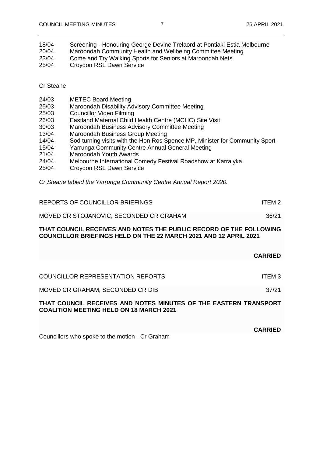**CARRIED**

| 18/04<br>20/04 | Screening - Honouring George Devine Trelaord at Pontiaki Estia Melbourne<br>Maroondah Community Health and Wellbeing Committee Meeting |
|----------------|----------------------------------------------------------------------------------------------------------------------------------------|
| 23/04          | Come and Try Walking Sports for Seniors at Maroondah Nets                                                                              |
| 25/04          | Croydon RSL Dawn Service                                                                                                               |
|                |                                                                                                                                        |

## Cr Steane

| 24/03 | <b>METEC Board Meeting</b>              |
|-------|-----------------------------------------|
| 25/03 | Maroondah Disability Advisory Committee |
| 25/03 | Councillor Video Filmina                |

- 25/03 Councillor Video Filming<br>26/03 Eastland Maternal Child Eastland Maternal Child Health Centre (MCHC) Site Visit
- 30/03 Maroondah Business Advisory Committee Meeting
- 13/04 Maroondah Business Group Meeting
- 14/04 Sod turning visits with the Hon Ros Spence MP, Minister for Community Sport

**Meeting** 

- 15/04 Yarrunga Community Centre Annual General Meeting
- 21/04 Maroondah Youth Awards
- 24/04 Melbourne International Comedy Festival Roadshow at Karralyka
- 25/04 Croydon RSL Dawn Service

*Cr Steane tabled the Yarrunga Community Centre Annual Report 2020.*

| REPORTS OF COUNCILLOR BRIEFINGS         | ITEM <sub>2</sub> |
|-----------------------------------------|-------------------|
| MOVED CR STOJANOVIC, SECONDED CR GRAHAM | 36/21             |

### **THAT COUNCIL RECEIVES AND NOTES THE PUBLIC RECORD OF THE FOLLOWING COUNCILLOR BRIEFINGS HELD ON THE 22 MARCH 2021 AND 12 APRIL 2021**

|                                                                                                                    | <b>CARRIED</b> |
|--------------------------------------------------------------------------------------------------------------------|----------------|
| <b>COUNCILLOR REPRESENTATION REPORTS</b>                                                                           | ITEM 3         |
| MOVED CR GRAHAM, SECONDED CR DIB                                                                                   | 37/21          |
| THAT COUNCIL RECEIVES AND NOTES MINUTES OF THE EASTERN TRANSPORT<br><b>COALITION MEETING HELD ON 18 MARCH 2021</b> |                |

Councillors who spoke to the motion - Cr Graham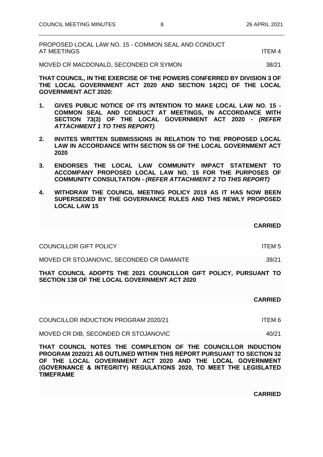| PROPOSED LOCAL LAW NO. 15 - COMMON SEAL AND CONDUCT |        |
|-----------------------------------------------------|--------|
| AT MEETINGS                                         | ITFM 4 |

MOVED CR MACDONALD, SECONDED CR SYMON 38/21

**THAT COUNCIL, IN THE EXERCISE OF THE POWERS CONFERRED BY DIVISION 3 OF THE LOCAL GOVERNMENT ACT 2020 AND SECTION 14(2C) OF THE LOCAL GOVERNMENT ACT 2020:**

- **1. GIVES PUBLIC NOTICE OF ITS INTENTION TO MAKE LOCAL LAW NO. 15 - COMMON SEAL AND CONDUCT AT MEETINGS, IN ACCORDANCE WITH SECTION 73(3) OF THE LOCAL GOVERNMENT ACT 2020 -** *(REFER ATTACHMENT 1 TO THIS REPORT)*
- **2. INVITES WRITTEN SUBMISSIONS IN RELATION TO THE PROPOSED LOCAL LAW IN ACCORDANCE WITH SECTION 55 OF THE LOCAL GOVERNMENT ACT 2020**
- **3. ENDORSES THE LOCAL LAW COMMUNITY IMPACT STATEMENT TO ACCOMPANY PROPOSED LOCAL LAW NO. 15 FOR THE PURPOSES OF COMMUNITY CONSULTATION -** *(REFER ATTACHMENT 2 TO THIS REPORT)*
- **4. WITHDRAW THE COUNCIL MEETING POLICY 2019 AS IT HAS NOW BEEN SUPERSEDED BY THE GOVERNANCE RULES AND THIS NEWLY PROPOSED LOCAL LAW 15**

COUNCILLOR GIFT POLICY **ITEM 5** 

MOVED CR STOJANOVIC, SECONDED CR DAMANTE 39/21

**THAT COUNCIL ADOPTS THE 2021 COUNCILLOR GIFT POLICY, PURSUANT TO SECTION 138 OF THE LOCAL GOVERNMENT ACT 2020**

#### **CARRIED**

COUNCILLOR INDUCTION PROGRAM 2020/21 ITEM 6

MOVED CR DIB, SECONDED CR STOJANOVIC 40/21

**THAT COUNCIL NOTES THE COMPLETION OF THE COUNCILLOR INDUCTION PROGRAM 2020/21 AS OUTLINED WITHIN THIS REPORT PURSUANT TO SECTION 32 OF THE LOCAL GOVERNMENT ACT 2020 AND THE LOCAL GOVERNMENT (GOVERNANCE & INTEGRITY) REGULATIONS 2020, TO MEET THE LEGISLATED TIMEFRAME**

**CARRIED**

**CARRIED**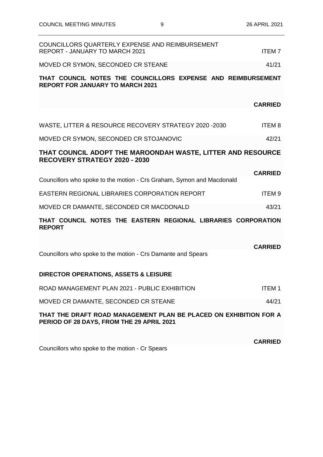| COUNCILLORS QUARTERLY EXPENSE AND REIMBURSEMENT<br>REPORT - JANUARY TO MARCH 2021                              | <b>ITEM7</b>   |
|----------------------------------------------------------------------------------------------------------------|----------------|
| MOVED CR SYMON, SECONDED CR STEANE                                                                             | 41/21          |
| THAT COUNCIL NOTES THE COUNCILLORS EXPENSE AND REIMBURSEMENT<br><b>REPORT FOR JANUARY TO MARCH 2021</b>        |                |
|                                                                                                                | <b>CARRIED</b> |
| WASTE, LITTER & RESOURCE RECOVERY STRATEGY 2020 -2030                                                          | <b>ITEM8</b>   |
| MOVED CR SYMON, SECONDED CR STOJANOVIC                                                                         | 42/21          |
| THAT COUNCIL ADOPT THE MAROONDAH WASTE, LITTER AND RESOURCE<br><b>RECOVERY STRATEGY 2020 - 2030</b>            |                |
|                                                                                                                | <b>CARRIED</b> |
| Councillors who spoke to the motion - Crs Graham, Symon and Macdonald                                          |                |
| EASTERN REGIONAL LIBRARIES CORPORATION REPORT                                                                  | <b>ITEM9</b>   |
| MOVED CR DAMANTE, SECONDED CR MACDONALD                                                                        | 43/21          |
| THAT COUNCIL NOTES THE EASTERN REGIONAL LIBRARIES CORPORATION<br><b>REPORT</b>                                 |                |
| Councillors who spoke to the motion - Crs Damante and Spears                                                   | <b>CARRIED</b> |
| <b>DIRECTOR OPERATIONS, ASSETS &amp; LEISURE</b>                                                               |                |
| ROAD MANAGEMENT PLAN 2021 - PUBLIC EXHIBITION                                                                  | <b>ITEM1</b>   |
| MOVED CR DAMANTE, SECONDED CR STEANE                                                                           | 44/21          |
| THAT THE DRAFT ROAD MANAGEMENT PLAN BE PLACED ON EXHIBITION FOR A<br>PERIOD OF 28 DAYS, FROM THE 29 APRIL 2021 |                |
|                                                                                                                | <b>CARRIED</b> |
|                                                                                                                |                |

Councillors who spoke to the motion - Cr Spears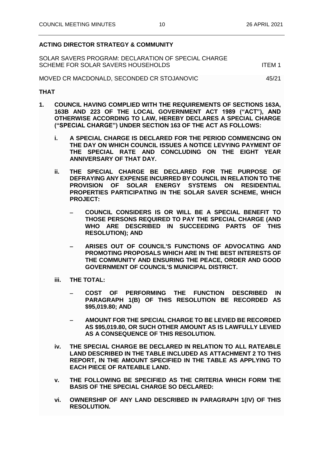# **ACTING DIRECTOR STRATEGY & COMMUNITY**

SOLAR SAVERS PROGRAM: DECLARATION OF SPECIAL CHARGE SCHEME FOR SOLAR SAVERS HOUSEHOLDS ITEM 1

MOVED CR MACDONALD, SECONDED CR STOJANOVIC 45/21

#### **THAT**

- **1. COUNCIL HAVING COMPLIED WITH THE REQUIREMENTS OF SECTIONS 163A, 163B AND 223 OF THE LOCAL GOVERNMENT ACT 1989 ("ACT"), AND OTHERWISE ACCORDING TO LAW, HEREBY DECLARES A SPECIAL CHARGE ("SPECIAL CHARGE") UNDER SECTION 163 OF THE ACT AS FOLLOWS:** 
	- **i. A SPECIAL CHARGE IS DECLARED FOR THE PERIOD COMMENCING ON THE DAY ON WHICH COUNCIL ISSUES A NOTICE LEVYING PAYMENT OF THE SPECIAL RATE AND CONCLUDING ON THE EIGHT YEAR ANNIVERSARY OF THAT DAY.**
	- **ii. THE SPECIAL CHARGE BE DECLARED FOR THE PURPOSE OF DEFRAYING ANY EXPENSE INCURRED BY COUNCIL IN RELATION TO THE PROVISION OF SOLAR ENERGY SYSTEMS ON RESIDENTIAL PROPERTIES PARTICIPATING IN THE SOLAR SAVER SCHEME, WHICH PROJECT:**
		- − **COUNCIL CONSIDERS IS OR WILL BE A SPECIAL BENEFIT TO THOSE PERSONS REQUIRED TO PAY THE SPECIAL CHARGE (AND WHO ARE DESCRIBED IN SUCCEEDING PARTS OF THIS RESOLUTION); AND**
		- − **ARISES OUT OF COUNCIL'S FUNCTIONS OF ADVOCATING AND PROMOTING PROPOSALS WHICH ARE IN THE BEST INTERESTS OF THE COMMUNITY AND ENSURING THE PEACE, ORDER AND GOOD GOVERNMENT OF COUNCIL'S MUNICIPAL DISTRICT.**
	- **iii. THE TOTAL:**
		- − **COST OF PERFORMING THE FUNCTION DESCRIBED IN PARAGRAPH 1(B) OF THIS RESOLUTION BE RECORDED AS \$95,019.80; AND**
		- − **AMOUNT FOR THE SPECIAL CHARGE TO BE LEVIED BE RECORDED AS \$95,019.80, OR SUCH OTHER AMOUNT AS IS LAWFULLY LEVIED AS A CONSEQUENCE OF THIS RESOLUTION.**
	- **iv. THE SPECIAL CHARGE BE DECLARED IN RELATION TO ALL RATEABLE LAND DESCRIBED IN THE TABLE INCLUDED AS ATTACHMENT 2 TO THIS REPORT, IN THE AMOUNT SPECIFIED IN THE TABLE AS APPLYING TO EACH PIECE OF RATEABLE LAND.**
	- **v. THE FOLLOWING BE SPECIFIED AS THE CRITERIA WHICH FORM THE BASIS OF THE SPECIAL CHARGE SO DECLARED:**
	- **vi. OWNERSHIP OF ANY LAND DESCRIBED IN PARAGRAPH 1(IV) OF THIS RESOLUTION.**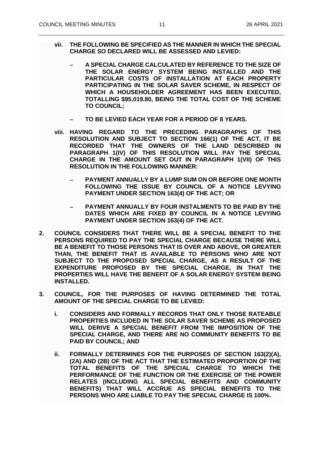- **vii. THE FOLLOWING BE SPECIFIED AS THE MANNER IN WHICH THE SPECIAL CHARGE SO DECLARED WILL BE ASSESSED AND LEVIED:**
	- − **A SPECIAL CHARGE CALCULATED BY REFERENCE TO THE SIZE OF THE SOLAR ENERGY SYSTEM BEING INSTALLED AND THE PARTICULAR COSTS OF INSTALLATION AT EACH PROPERTY PARTICIPATING IN THE SOLAR SAVER SCHEME, IN RESPECT OF WHICH A HOUSEHOLDER AGREEMENT HAS BEEN EXECUTED, TOTALLING \$95,019.80, BEING THE TOTAL COST OF THE SCHEME TO COUNCIL;**
	- − **TO BE LEVIED EACH YEAR FOR A PERIOD OF 8 YEARS.**
- **viii. HAVING REGARD TO THE PRECEDING PARAGRAPHS OF THIS RESOLUTION AND SUBJECT TO SECTION 166(1) OF THE ACT, IT BE RECORDED THAT THE OWNERS OF THE LAND DESCRIBED IN PARAGRAPH 1(IV) OF THIS RESOLUTION WILL PAY THE SPECIAL CHARGE IN THE AMOUNT SET OUT IN PARAGRAPH 1(VII) OF THIS RESOLUTION IN THE FOLLOWING MANNER:**
	- − **PAYMENT ANNUALLY BY A LUMP SUM ON OR BEFORE ONE MONTH FOLLOWING THE ISSUE BY COUNCIL OF A NOTICE LEVYING PAYMENT UNDER SECTION 163(4) OF THE ACT; OR**
	- − **PAYMENT ANNUALLY BY FOUR INSTALMENTS TO BE PAID BY THE DATES WHICH ARE FIXED BY COUNCIL IN A NOTICE LEVYING PAYMENT UNDER SECTION 163(4) OF THE ACT.**
- **2. COUNCIL CONSIDERS THAT THERE WILL BE A SPECIAL BENEFIT TO THE PERSONS REQUIRED TO PAY THE SPECIAL CHARGE BECAUSE THERE WILL BE A BENEFIT TO THOSE PERSONS THAT IS OVER AND ABOVE, OR GREATER THAN, THE BENEFIT THAT IS AVAILABLE TO PERSONS WHO ARE NOT SUBJECT TO THE PROPOSED SPECIAL CHARGE, AS A RESULT OF THE EXPENDITURE PROPOSED BY THE SPECIAL CHARGE, IN THAT THE PROPERTIES WILL HAVE THE BENEFIT OF A SOLAR ENERGY SYSTEM BEING INSTALLED.**
- **3. COUNCIL, FOR THE PURPOSES OF HAVING DETERMINED THE TOTAL AMOUNT OF THE SPECIAL CHARGE TO BE LEVIED:**
	- **i. CONSIDERS AND FORMALLY RECORDS THAT ONLY THOSE RATEABLE PROPERTIES INCLUDED IN THE SOLAR SAVER SCHEME AS PROPOSED WILL DERIVE A SPECIAL BENEFIT FROM THE IMPOSITION OF THE SPECIAL CHARGE, AND THERE ARE NO COMMUNITY BENEFITS TO BE PAID BY COUNCIL; AND**
	- **ii. FORMALLY DETERMINES FOR THE PURPOSES OF SECTION 163(2)(A), (2A) AND (2B) OF THE ACT THAT THE ESTIMATED PROPORTION OF THE TOTAL BENEFITS OF THE SPECIAL CHARGE TO WHICH THE PERFORMANCE OF THE FUNCTION OR THE EXERCISE OF THE POWER RELATES (INCLUDING ALL SPECIAL BENEFITS AND COMMUNITY BENEFITS) THAT WILL ACCRUE AS SPECIAL BENEFITS TO THE PERSONS WHO ARE LIABLE TO PAY THE SPECIAL CHARGE IS 100%.**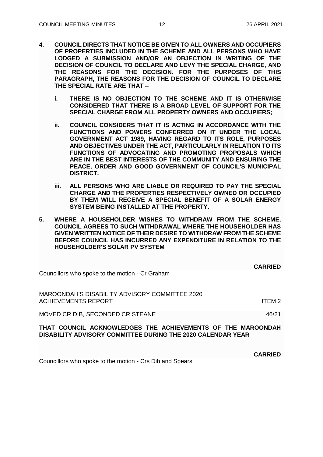- **4. COUNCIL DIRECTS THAT NOTICE BE GIVEN TO ALL OWNERS AND OCCUPIERS OF PROPERTIES INCLUDED IN THE SCHEME AND ALL PERSONS WHO HAVE LODGED A SUBMISSION AND/OR AN OBJECTION IN WRITING OF THE DECISION OF COUNCIL TO DECLARE AND LEVY THE SPECIAL CHARGE, AND THE REASONS FOR THE DECISION. FOR THE PURPOSES OF THIS PARAGRAPH, THE REASONS FOR THE DECISION OF COUNCIL TO DECLARE THE SPECIAL RATE ARE THAT –**
	- **i. THERE IS NO OBJECTION TO THE SCHEME AND IT IS OTHERWISE CONSIDERED THAT THERE IS A BROAD LEVEL OF SUPPORT FOR THE SPECIAL CHARGE FROM ALL PROPERTY OWNERS AND OCCUPIERS;**
	- **ii. COUNCIL CONSIDERS THAT IT IS ACTING IN ACCORDANCE WITH THE FUNCTIONS AND POWERS CONFERRED ON IT UNDER THE LOCAL GOVERNMENT ACT 1989, HAVING REGARD TO ITS ROLE, PURPOSES AND OBJECTIVES UNDER THE ACT, PARTICULARLY IN RELATION TO ITS FUNCTIONS OF ADVOCATING AND PROMOTING PROPOSALS WHICH ARE IN THE BEST INTERESTS OF THE COMMUNITY AND ENSURING THE PEACE, ORDER AND GOOD GOVERNMENT OF COUNCIL'S MUNICIPAL DISTRICT.**
	- **iii. ALL PERSONS WHO ARE LIABLE OR REQUIRED TO PAY THE SPECIAL CHARGE AND THE PROPERTIES RESPECTIVELY OWNED OR OCCUPIED BY THEM WILL RECEIVE A SPECIAL BENEFIT OF A SOLAR ENERGY SYSTEM BEING INSTALLED AT THE PROPERTY.**
- **5. WHERE A HOUSEHOLDER WISHES TO WITHDRAW FROM THE SCHEME, COUNCIL AGREES TO SUCH WITHDRAWAL WHERE THE HOUSEHOLDER HAS GIVEN WRITTEN NOTICE OF THEIR DESIRE TO WITHDRAW FROM THE SCHEME BEFORE COUNCIL HAS INCURRED ANY EXPENDITURE IN RELATION TO THE HOUSEHOLDER'S SOLAR PV SYSTEM**

|                                                                                                                            | <b>CARRIED</b>    |
|----------------------------------------------------------------------------------------------------------------------------|-------------------|
| Councillors who spoke to the motion - Cr Graham                                                                            |                   |
| MAROONDAH'S DISABILITY ADVISORY COMMITTEE 2020                                                                             |                   |
| <b>ACHIEVEMENTS REPORT</b>                                                                                                 | ITFM <sub>2</sub> |
| MOVED CR DIB, SECONDED CR STEANE                                                                                           | 46/21             |
| THAT COUNCIL ACKNOWLEDGES THE ACHIEVEMENTS OF THE MAROONDAH<br>DISABILITY ADVISORY COMMITTEE DURING THE 2020 CALENDAR YEAR |                   |
|                                                                                                                            | <b>CARRIED</b>    |

Councillors who spoke to the motion - Crs Dib and Spears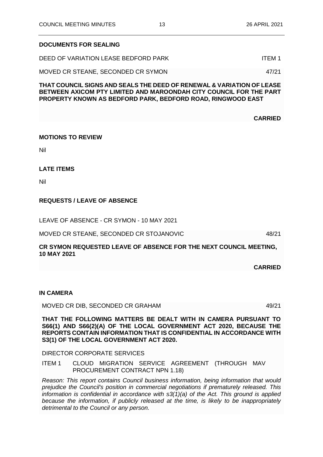### **DOCUMENTS FOR SEALING**

DEED OF VARIATION LEASE BEDFORD PARK ITEM 1

MOVED CR STEANE, SECONDED CR SYMON 47/21

**THAT COUNCIL SIGNS AND SEALS THE DEED OF RENEWAL & VARIATION OF LEASE BETWEEN AXICOM PTY LIMITED AND MAROONDAH CITY COUNCIL FOR THE PART PROPERTY KNOWN AS BEDFORD PARK, BEDFORD ROAD, RINGWOOD EAST**

**CARRIED**

#### **MOTIONS TO REVIEW**

Nil

### **LATE ITEMS**

Nil

# **REQUESTS / LEAVE OF ABSENCE**

LEAVE OF ABSENCE - CR SYMON - 10 MAY 2021

MOVED CR STEANE, SECONDED CR STOJANOVIC 48/21

**CR SYMON REQUESTED LEAVE OF ABSENCE FOR THE NEXT COUNCIL MEETING, 10 MAY 2021**

**CARRIED**

#### **IN CAMERA**

MOVED CR DIB, SECONDED CR GRAHAM 49/21

**THAT THE FOLLOWING MATTERS BE DEALT WITH IN CAMERA PURSUANT TO S66(1) AND S66(2)(A) OF THE LOCAL GOVERNMENT ACT 2020, BECAUSE THE REPORTS CONTAIN INFORMATION THAT IS CONFIDENTIAL IN ACCORDANCE WITH S3(1) OF THE LOCAL GOVERNMENT ACT 2020.**

#### DIRECTOR CORPORATE SERVICES

ITEM 1 CLOUD MIGRATION SERVICE AGREEMENT (THROUGH MAV PROCUREMENT CONTRACT NPN 1.18)

*Reason: This report contains Council business information, being information that would prejudice the Council's position in commercial negotiations if prematurely released. This information is confidential in accordance with s3(1)(a) of the Act. This ground is applied because the information, if publicly released at the time, is likely to be inappropriately detrimental to the Council or any person.*